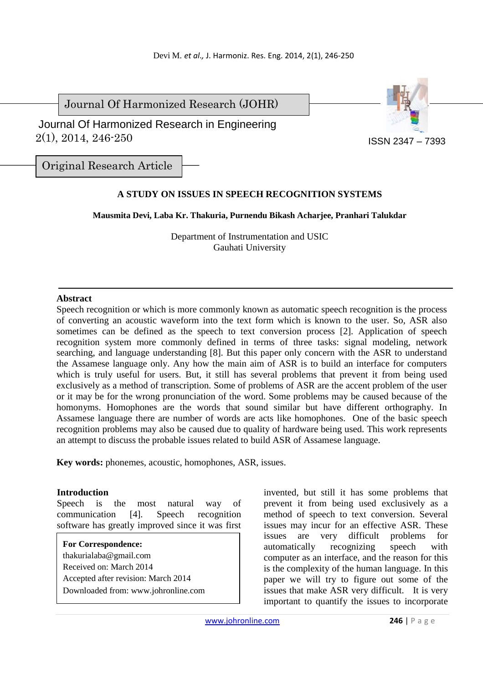Journal Of Harmonized Research (JOHR)



 2(1), 2014, 246-250 Journal Of Harmonized Research in Engineering

Original Research Article

# **A STUDY ON ISSUES IN SPEECH RECOGNITION SYSTEMS**

## **Mausmita Devi, Laba Kr. Thakuria, Purnendu Bikash Acharjee, Pranhari Talukdar**

Department of Instrumentation and USIC Gauhati University

### **Abstract**

Speech recognition or which is more commonly known as automatic speech recognition is the process of converting an acoustic waveform into the text form which is known to the user. So, ASR also sometimes can be defined as the speech to text conversion process [2]. Application of speech recognition system more commonly defined in terms of three tasks: signal modeling, network searching, and language understanding [8]. But this paper only concern with the ASR to understand the Assamese language only. Any how the main aim of ASR is to build an interface for computers which is truly useful for users. But, it still has several problems that prevent it from being used exclusively as a method of transcription. Some of problems of ASR are the accent problem of the user or it may be for the wrong pronunciation of the word. Some problems may be caused because of the homonyms. Homophones are the words that sound similar but have different orthography. In Assamese language there are number of words are acts like homophones. One of the basic speech recognition problems may also be caused due to quality of hardware being used. This work represents an attempt to discuss the probable issues related to build ASR of Assamese language.

**Key words:** phonemes, acoustic, homophones, ASR, issues.

## **Introduction**

Speech is the most natural way of communication [4]. Speech recognition software has greatly improved since it was first

**For Correspondence:**  thakurialaba@gmail.com Received on: March 2014 Accepted after revision: March 2014 Downloaded from: www.johronline.com invented, but still it has some problems that prevent it from being used exclusively as a method of speech to text conversion. Several issues may incur for an effective ASR. These issues are very difficult problems for automatically recognizing speech with computer as an interface, and the reason for this is the complexity of the human language. In this paper we will try to figure out some of the issues that make ASR very difficult. It is very important to quantify the issues to incorporate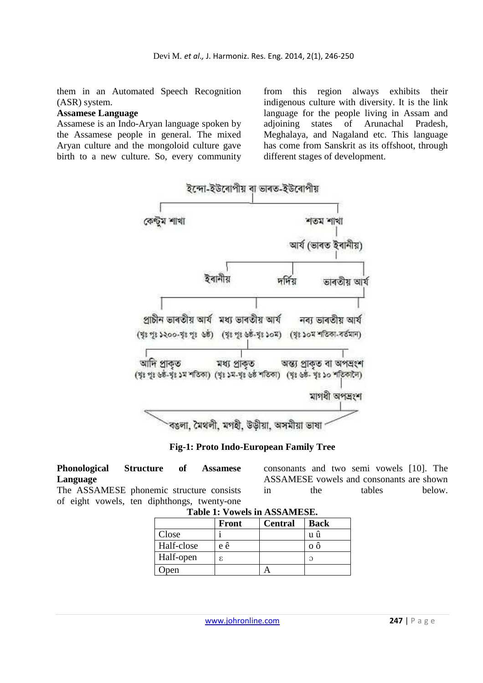them in an Automated Speech Recognition (ASR) system.

#### **Assamese Language**

Assamese is an Indo-Aryan language spoken by the Assamese people in general. The mixed Aryan culture and the mongoloid culture gave birth to a new culture. So, every community

from this region always exhibits their indigenous culture with diversity. It is the link language for the people living in Assam and adjoining states of Arunachal Pradesh, Meghalaya, and Nagaland etc. This language has come from Sanskrit as its offshoot, through different stages of development.



**Fig-1: Proto Indo-European Family Tree** 

**Phonological Structure of Assamese Language**  The ASSAMESE phonemic structure consists of eight vowels, ten diphthongs, twenty-one consonants and two semi vowels [10]. The ASSAMESE vowels and consonants are shown in the tables below.

|            | Front | <b>Central</b> | <b>Back</b> |
|------------|-------|----------------|-------------|
| Close      |       |                | u ú         |
| Half-close | e ê   |                |             |
| Half-open  | ε.    |                | ภ           |
| ) pen      |       |                |             |

**Table 1: Vowels in ASSAMESE.**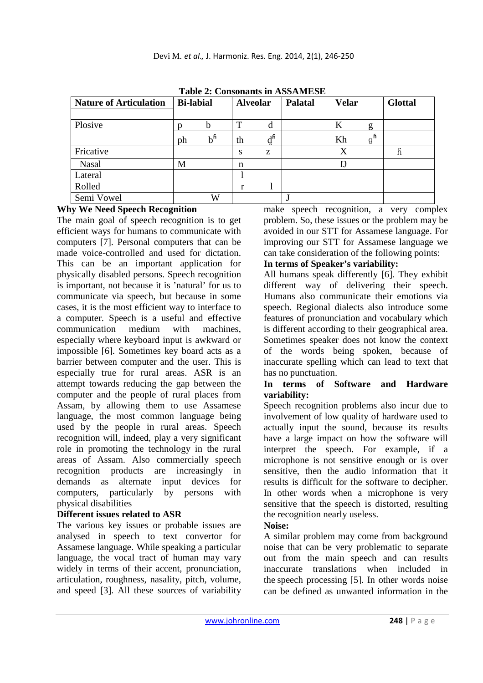| Table 2: Consonants in ASSAMESE |                  |                  |                 |    |                |              |                 |                |  |  |  |
|---------------------------------|------------------|------------------|-----------------|----|----------------|--------------|-----------------|----------------|--|--|--|
| <b>Nature of Articulation</b>   | <b>Bi-labial</b> |                  | <b>Alveolar</b> |    | <b>Palatal</b> | <b>Velar</b> |                 | <b>Glottal</b> |  |  |  |
| Plosive                         |                  | b                | т               |    |                | K            | g               |                |  |  |  |
|                                 | ph               | $b^{\mathsf{h}}$ | th              | յհ |                | Kh           | $g^{\text{fi}}$ |                |  |  |  |
| Fricative                       |                  |                  | S               | Z  |                | X            |                 | ĥ              |  |  |  |
| <b>Nasal</b>                    | M                |                  | n               |    |                | Ŋ            |                 |                |  |  |  |
| Lateral                         |                  |                  |                 |    |                |              |                 |                |  |  |  |
| Rolled                          |                  |                  | r               |    |                |              |                 |                |  |  |  |
| Semi Vowel                      |                  | W                |                 |    |                |              |                 |                |  |  |  |

**Table 2: Consonants in ASSAMESE** 

### **Why We Need Speech Recognition**

The main goal of speech recognition is to get efficient ways for humans to communicate with computers [7]. Personal computers that can be made voice-controlled and used for dictation. This can be an important application for physically disabled persons. Speech recognition is important, not because it is 'natural' for us to communicate via speech, but because in some cases, it is the most efficient way to interface to a computer. Speech is a useful and effective communication medium with machines, especially where keyboard input is awkward or impossible [6]. Sometimes key board acts as a barrier between computer and the user. This is especially true for rural areas. ASR is an attempt towards reducing the gap between the computer and the people of rural places from Assam, by allowing them to use Assamese language, the most common language being used by the people in rural areas. Speech recognition will, indeed, play a very significant role in promoting the technology in the rural areas of Assam. Also commercially speech recognition products are increasingly in demands as alternate input devices for computers, particularly by persons with physical disabilities

## **Different issues related to ASR**

The various key issues or probable issues are analysed in speech to text convertor for Assamese language. While speaking a particular language, the vocal tract of human may vary widely in terms of their accent, pronunciation, articulation, roughness, nasality, pitch, volume, and speed [3]. All these sources of variability

make speech recognition, a very complex problem. So, these issues or the problem may be avoided in our STT for Assamese language. For improving our STT for Assamese language we can take consideration of the following points:

### **In terms of Speaker's variability:**

All humans speak differently [6]. They exhibit different way of delivering their speech. Humans also communicate their emotions via speech. Regional dialects also introduce some features of pronunciation and vocabulary which is different according to their geographical area. Sometimes speaker does not know the context of the words being spoken, because of inaccurate spelling which can lead to text that has no punctuation.

### **In terms of Software and Hardware variability:**

Speech recognition problems also incur due to involvement of low quality of hardware used to actually input the sound, because its results have a large impact on how the software will interpret the speech. For example, if a microphone is not sensitive enough or is over sensitive, then the audio information that it results is difficult for the software to decipher. In other words when a microphone is very sensitive that the speech is distorted, resulting the recognition nearly useless.

#### **Noise:**

A similar problem may come from background noise that can be very problematic to separate out from the main speech and can results inaccurate translations when included in the speech processing [5]. In other words noise can be defined as unwanted information in the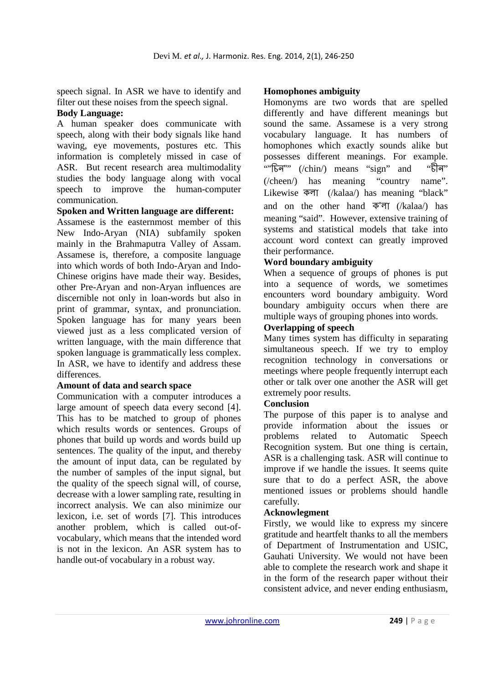speech signal. In ASR we have to identify and filter out these noises from the speech signal.

#### **Body Language:**

A human speaker does communicate with speech, along with their body signals like hand waving, eye movements, postures etc. This information is completely missed in case of ASR. But recent research area multimodality studies the body language along with vocal speech to improve the human-computer communication.

### **Spoken and Written language are different:**

Assamese is the easternmost member of this New Indo-Aryan (NIA) subfamily spoken mainly in the Brahmaputra Valley of Assam. Assamese is, therefore, a composite language into which words of both Indo-Aryan and Indo-Chinese origins have made their way. Besides, other Pre-Aryan and non-Aryan influences are discernible not only in loan-words but also in print of grammar, syntax, and pronunciation. Spoken language has for many years been viewed just as a less complicated version of written language, with the main difference that spoken language is grammatically less complex. In ASR, we have to identify and address these differences.

## **Amount of data and search space**

Communication with a computer introduces a large amount of speech data every second [4]. This has to be matched to group of phones which results words or sentences. Groups of phones that build up words and words build up sentences. The quality of the input, and thereby the amount of input data, can be regulated by the number of samples of the input signal, but the quality of the speech signal will, of course, decrease with a lower sampling rate, resulting in incorrect analysis. We can also minimize our lexicon, i.e. set of words [7]. This introduces another problem, which is called out-ofvocabulary, which means that the intended word is not in the lexicon. An ASR system has to handle out-of vocabulary in a robust way.

### **Homophones ambiguity**

Homonyms are two words that are spelled differently and have different meanings but sound the same. Assamese is a very strong vocabulary language. It has numbers of homophones which exactly sounds alike but possesses different meanings. For example. "'' (/chin/) means "sign" and "ট "মীন" (/cheen/) has meaning "country name". Likewise **कला** (/kalaa) has meaning "black" and on the other hand  $\overline{\Phi}'$  (/kalaa/) has meaning "said". However, extensive training of systems and statistical models that take into account word context can greatly improved their performance.

## **Word boundary ambiguity**

When a sequence of groups of phones is put into a sequence of words, we sometimes encounters word boundary ambiguity. Word boundary ambiguity occurs when there are multiple ways of grouping phones into words.

## **Overlapping of speech**

Many times system has difficulty in separating simultaneous speech. If we try to employ recognition technology in conversations or meetings where people frequently interrupt each other or talk over one another the ASR will get extremely poor results.

## **Conclusion**

The purpose of this paper is to analyse and provide information about the issues or problems related to Automatic Speech Recognition system. But one thing is certain, ASR is a challenging task. ASR will continue to improve if we handle the issues. It seems quite sure that to do a perfect ASR, the above mentioned issues or problems should handle carefully.

## **Acknowlegment**

Firstly, we would like to express my sincere gratitude and heartfelt thanks to all the members of Department of Instrumentation and USIC, Gauhati University. We would not have been able to complete the research work and shape it in the form of the research paper without their consistent advice, and never ending enthusiasm,